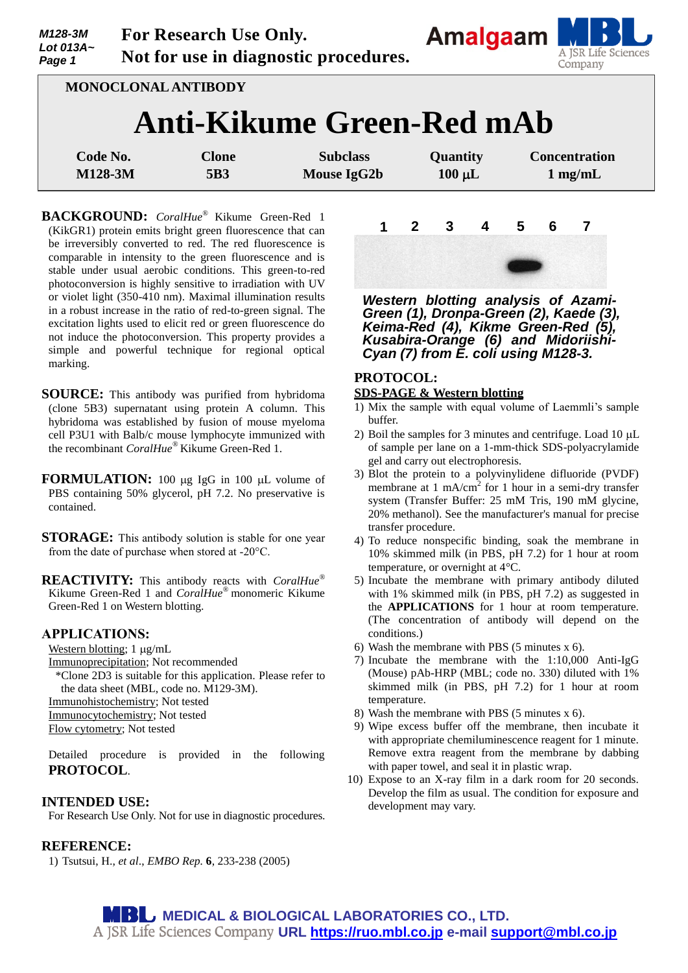| M128-3M<br>Lot 013A~<br>Page 1                                 | For Research Use Only.<br>Not for use in diagnostic procedures. |                     |                                |                         | Amalgaam M<br>A JSR Life Science<br>Company |
|----------------------------------------------------------------|-----------------------------------------------------------------|---------------------|--------------------------------|-------------------------|---------------------------------------------|
| <b>MONOCLONAL ANTIBODY</b><br><b>Anti-Kikume Green-Red mAb</b> |                                                                 |                     |                                |                         |                                             |
| Code No.<br>M128-3M                                            |                                                                 | <b>Clone</b><br>5B3 | <b>Subclass</b><br>Mouse IgG2b | Quantity<br>$100 \mu L$ | <b>Concentration</b><br>$1$ mg/mL           |

**BACKGROUND:** *CoralHue*® Kikume Green-Red 1 (KikGR1) protein emits bright green fluorescence that can be irreversibly converted to red. The red fluorescence is comparable in intensity to the green fluorescence and is stable under usual aerobic conditions. This green-to-red photoconversion is highly sensitive to irradiation with UV or violet light (350-410 nm). Maximal illumination results in a robust increase in the ratio of red-to-green signal. The excitation lights used to elicit red or green fluorescence do not induce the photoconversion. This property provides a simple and powerful technique for regional optical marking.

- **SOURCE:** This antibody was purified from hybridoma (clone 5B3) supernatant using protein A column. This hybridoma was established by fusion of mouse myeloma cell P3U1 with Balb/c mouse lymphocyte immunized with the recombinant *CoralHue®* Kikume Green-Red 1.
- **FORMULATION:** 100 ug IgG in 100 uL volume of PBS containing 50% glycerol, pH 7.2. No preservative is contained.
- **STORAGE:** This antibody solution is stable for one year from the date of purchase when stored at -20°C.

**REACTIVITY:** This antibody reacts with *CoralHue®* Kikume Green-Red 1 and *CoralHue®* monomeric Kikume Green-Red 1 on Western blotting.

#### **APPLICATIONS:**

Western blotting;  $1 \mu g/mL$ 

Immunoprecipitation; Not recommended

\*Clone 2D3 is suitable for this application. Please refer to the data sheet (MBL, code no. M129-3M).

Immunohistochemistry; Not tested

Immunocytochemistry; Not tested

Flow cytometry; Not tested

Detailed procedure is provided in the following **PROTOCOL**.

#### **INTENDED USE:**

For Research Use Only. Not for use in diagnostic procedures.

# **REFERENCE:**

1) Tsutsui, H., *et al*., *EMBO Rep.* **6**, 233-238 (2005)



<u>a shekara ta 1989 a ƙasar Ingila.</u>

*Western blotting analysis of Azami-Green (1), Dronpa-Green (2), Kaede (3), Keima-Red (4), Kikme Green-Red (5), Kusabira-Orange (6) and Midoriishi-Cyan (7) from E. coli using M128-3.*

#### **PROTOCOL:**

## **SDS-PAGE & Western blotting**

- 1) Mix the sample with equal volume of Laemmli's sample buffer.
- 2) Boil the samples for 3 minutes and centrifuge. Load  $10 \mu L$ of sample per lane on a 1-mm-thick SDS-polyacrylamide gel and carry out electrophoresis.
- 3) Blot the protein to a polyvinylidene difluoride (PVDF) membrane at 1 mA/cm<sup>2</sup> for 1 hour in a semi-dry transfer system (Transfer Buffer: 25 mM Tris, 190 mM glycine, 20% methanol). See the manufacturer's manual for precise transfer procedure.
- 4) To reduce nonspecific binding, soak the membrane in 10% skimmed milk (in PBS, pH 7.2) for 1 hour at room temperature, or overnight at 4°C.
- 5) Incubate the membrane with primary antibody diluted with 1% skimmed milk (in PBS, pH 7.2) as suggested in the **APPLICATIONS** for 1 hour at room temperature. (The concentration of antibody will depend on the conditions.)
- 6) Wash the membrane with PBS (5 minutes x 6).
- 7) Incubate the membrane with the 1:10,000 Anti-IgG (Mouse) pAb-HRP (MBL; code no. 330) diluted with 1% skimmed milk (in PBS, pH 7.2) for 1 hour at room temperature.
- 8) Wash the membrane with PBS (5 minutes x 6).
- 9) Wipe excess buffer off the membrane, then incubate it with appropriate chemiluminescence reagent for 1 minute. Remove extra reagent from the membrane by dabbing with paper towel, and seal it in plastic wrap.
- 10) Expose to an X-ray film in a dark room for 20 seconds. Develop the film as usual. The condition for exposure and development may vary.

**MBU MEDICAL & BIOLOGICAL LABORATORIES CO., LTD. URL [https://ruo.mbl.co.jp](https://ruo.mbl.co.jp/) e-mail [support@mbl.co.jp](mailto:support@mbl.co.jp)**